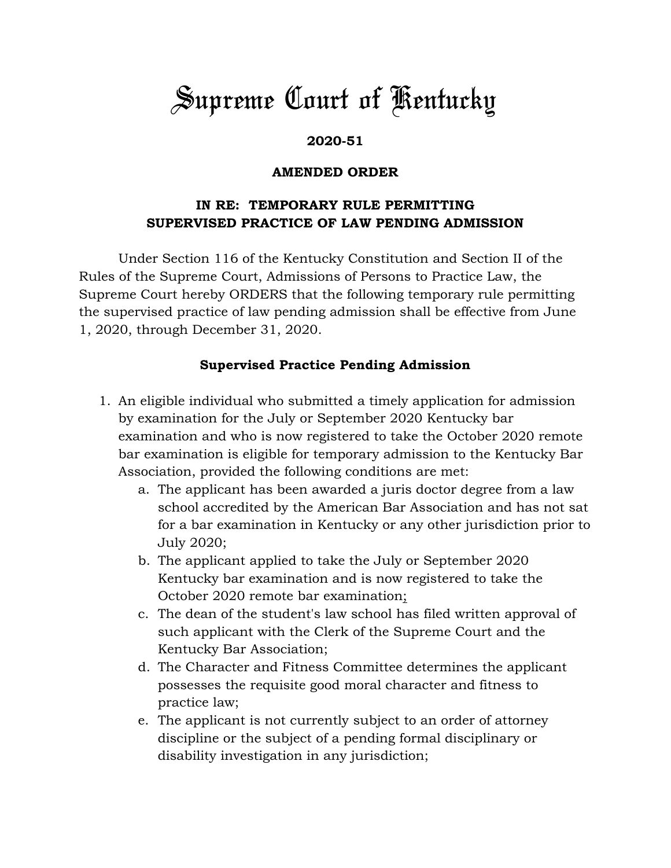# *Supreme Court of Kentucky*

#### **2020-51**

#### **AMENDED ORDER**

## **IN RE: TEMPORARY RULE PERMITTING SUPERVISED PRACTICE OF LAW PENDING ADMISSION**

Under Section 116 of the Kentucky Constitution and Section II of the Rules of the Supreme Court, Admissions of Persons to Practice Law, the Supreme Court hereby ORDERS that the following temporary rule permitting the supervised practice of law pending admission shall be effective from June 1, 2020, through December 31, 2020.

### **Supervised Practice Pending Admission**

- 1. An eligible individual who submitted a timely application for admission by examination for the July or September 2020 Kentucky bar examination and who is now registered to take the October 2020 remote bar examination is eligible for temporary admission to the Kentucky Bar Association, provided the following conditions are met:
	- a. The applicant has been awarded a juris doctor degree from a law school accredited by the American Bar Association and has not sat for a bar examination in Kentucky or any other jurisdiction prior to July 2020;
	- b. The applicant applied to take the July or September 2020 Kentucky bar examination and is now registered to take the October 2020 remote bar examination;
	- c. The dean of the student's law school has filed written approval of such applicant with the Clerk of the Supreme Court and the Kentucky Bar Association;
	- d. The Character and Fitness Committee determines the applicant possesses the requisite good moral character and fitness to practice law;
	- e. The applicant is not currently subject to an order of attorney discipline or the subject of a pending formal disciplinary or disability investigation in any jurisdiction;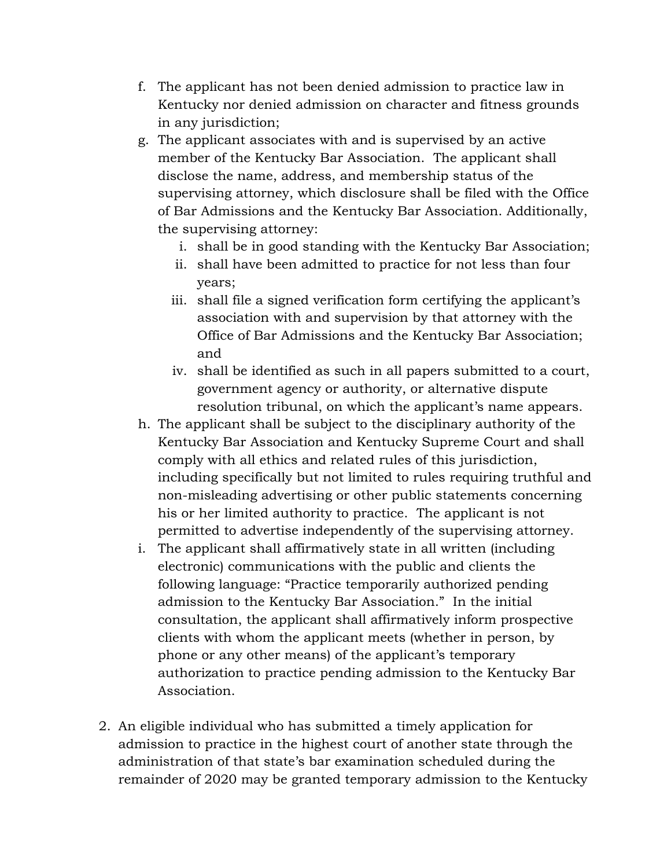- f. The applicant has not been denied admission to practice law in Kentucky nor denied admission on character and fitness grounds in any jurisdiction;
- g. The applicant associates with and is supervised by an active member of the Kentucky Bar Association. The applicant shall disclose the name, address, and membership status of the supervising attorney, which disclosure shall be filed with the Office of Bar Admissions and the Kentucky Bar Association. Additionally, the supervising attorney:
	- i. shall be in good standing with the Kentucky Bar Association;
	- ii. shall have been admitted to practice for not less than four years;
	- iii. shall file a signed verification form certifying the applicant's association with and supervision by that attorney with the Office of Bar Admissions and the Kentucky Bar Association; and
	- iv. shall be identified as such in all papers submitted to a court, government agency or authority, or alternative dispute resolution tribunal, on which the applicant's name appears.
- h. The applicant shall be subject to the disciplinary authority of the Kentucky Bar Association and Kentucky Supreme Court and shall comply with all ethics and related rules of this jurisdiction, including specifically but not limited to rules requiring truthful and non-misleading advertising or other public statements concerning his or her limited authority to practice. The applicant is not permitted to advertise independently of the supervising attorney.
- i. The applicant shall affirmatively state in all written (including electronic) communications with the public and clients the following language: "Practice temporarily authorized pending admission to the Kentucky Bar Association." In the initial consultation, the applicant shall affirmatively inform prospective clients with whom the applicant meets (whether in person, by phone or any other means) of the applicant's temporary authorization to practice pending admission to the Kentucky Bar Association.
- 2. An eligible individual who has submitted a timely application for admission to practice in the highest court of another state through the administration of that state's bar examination scheduled during the remainder of 2020 may be granted temporary admission to the Kentucky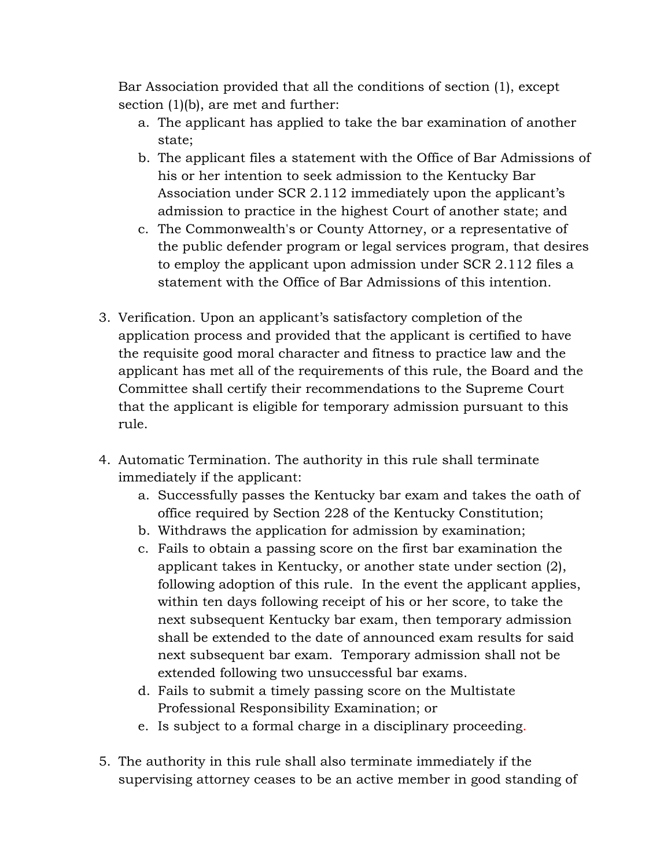Bar Association provided that all the conditions of section (1), except section (1)(b), are met and further:

- a. The applicant has applied to take the bar examination of another state;
- b. The applicant files a statement with the Office of Bar Admissions of his or her intention to seek admission to the Kentucky Bar Association under SCR 2.112 immediately upon the applicant's admission to practice in the highest Court of another state; and
- c. The Commonwealth's or County Attorney, or a representative of the public defender program or legal services program, that desires to employ the applicant upon admission under SCR 2.112 files a statement with the Office of Bar Admissions of this intention.
- 3. Verification. Upon an applicant's satisfactory completion of the application process and provided that the applicant is certified to have the requisite good moral character and fitness to practice law and the applicant has met all of the requirements of this rule, the Board and the Committee shall certify their recommendations to the Supreme Court that the applicant is eligible for temporary admission pursuant to this rule.
- 4. Automatic Termination. The authority in this rule shall terminate immediately if the applicant:
	- a. Successfully passes the Kentucky bar exam and takes the oath of office required by Section 228 of the Kentucky Constitution;
	- b. Withdraws the application for admission by examination;
	- c. Fails to obtain a passing score on the first bar examination the applicant takes in Kentucky, or another state under section (2), following adoption of this rule. In the event the applicant applies, within ten days following receipt of his or her score, to take the next subsequent Kentucky bar exam, then temporary admission shall be extended to the date of announced exam results for said next subsequent bar exam. Temporary admission shall not be extended following two unsuccessful bar exams.
	- d. Fails to submit a timely passing score on the Multistate Professional Responsibility Examination; or
	- e. Is subject to a formal charge in a disciplinary proceeding.
- 5. The authority in this rule shall also terminate immediately if the supervising attorney ceases to be an active member in good standing of